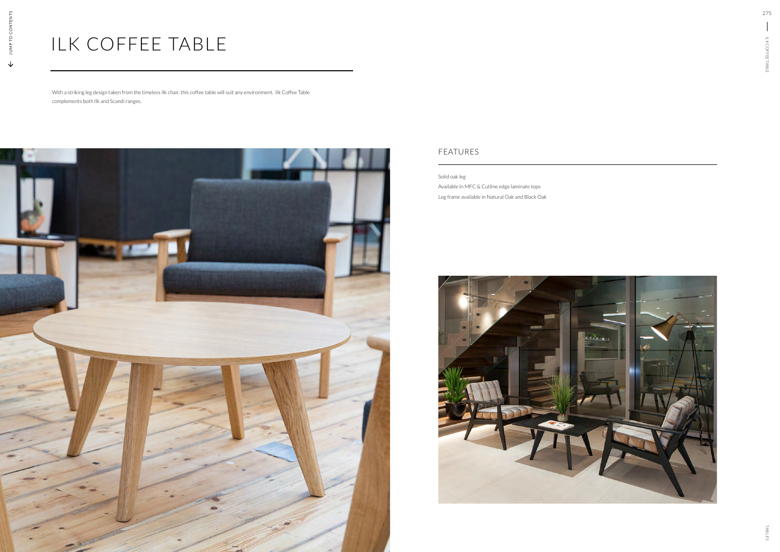Solid oak leg Available in MFC & Cutline edge laminate tops Leg frame available in Natural Oak and Black Oak



## FEATURES

## ILK COFFEE TABLE

With a striking leg design taken from the timeless Ilk chair, this coffee table will suit any environment. Ilk Coffee Table complements both Ilk and Scandi ranges.



275